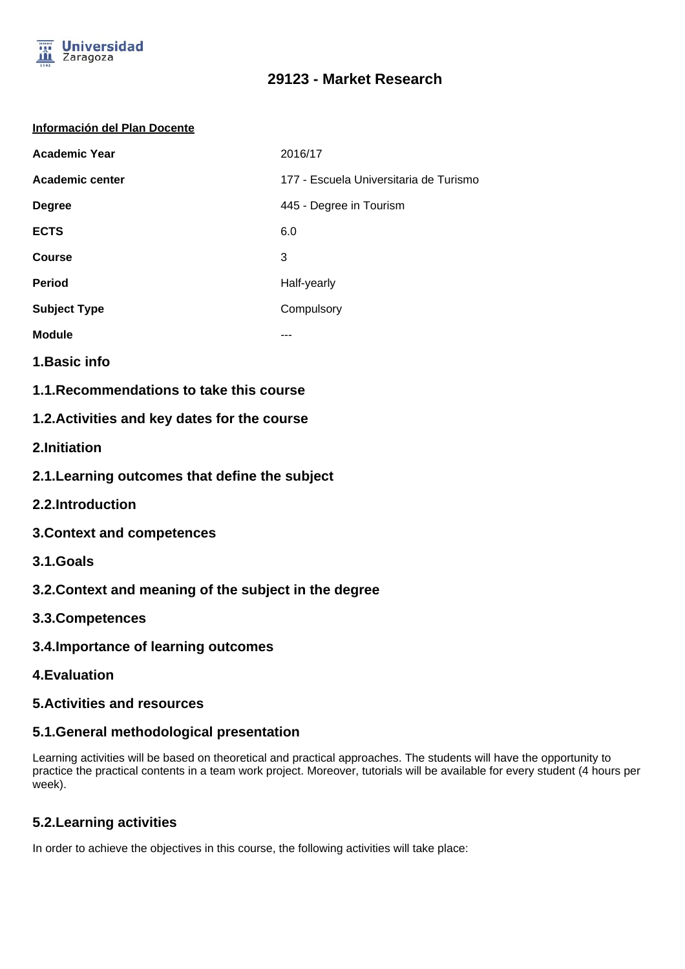

# **29123 - Market Research**

#### **Información del Plan Docente**

| <b>Academic Year</b>   | 2016/17                                |
|------------------------|----------------------------------------|
| <b>Academic center</b> | 177 - Escuela Universitaria de Turismo |
| <b>Degree</b>          | 445 - Degree in Tourism                |
| <b>ECTS</b>            | 6.0                                    |
| <b>Course</b>          | 3                                      |
| <b>Period</b>          | Half-yearly                            |
| <b>Subject Type</b>    | Compulsory                             |
| <b>Module</b>          | ---                                    |
|                        |                                        |

- **1.Basic info**
- **1.1.Recommendations to take this course**

### **1.2.Activities and key dates for the course**

- **2.Initiation**
- **2.1.Learning outcomes that define the subject**
- **2.2.Introduction**
- **3.Context and competences**
- **3.1.Goals**
- **3.2.Context and meaning of the subject in the degree**
- **3.3.Competences**
- **3.4.Importance of learning outcomes**
- **4.Evaluation**

### **5.Activities and resources**

### **5.1.General methodological presentation**

Learning activities will be based on theoretical and practical approaches. The students will have the opportunity to practice the practical contents in a team work project. Moreover, tutorials will be available for every student (4 hours per week).

## **5.2.Learning activities**

In order to achieve the objectives in this course, the following activities will take place: